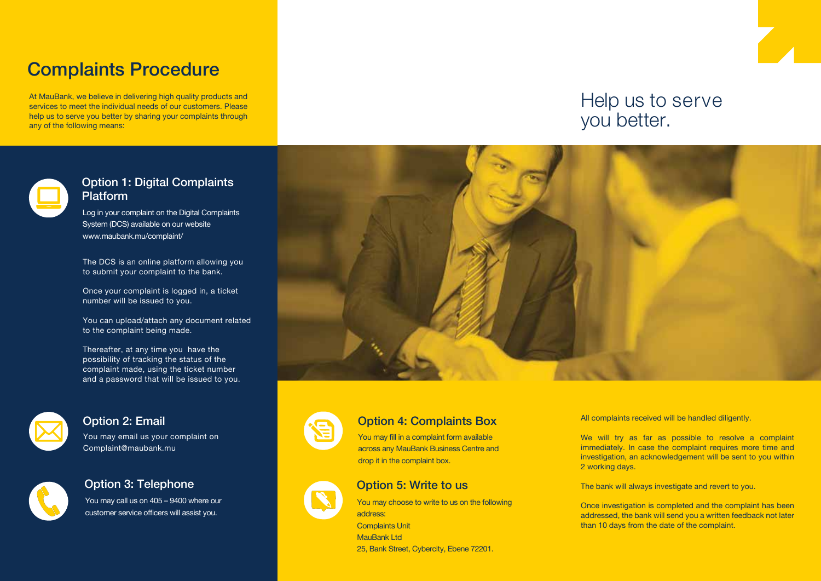# Complaints Procedure

At MauBank, we believe in delivering high quality products and services to meet the individual needs of our customers. Please help us to serve you better by sharing your complaints through any of the following means:

## Help us to serve you better.



### Option 1: Digital Complaints Platform

Log in your complaint on the Digital Complaints System (DCS) available on our website www.maubank.mu/complaint/

The DCS is an online platform allowing you to submit your complaint to the bank.

Once your complaint is logged in, a ticket number will be issued to you.

You can upload/attach any document related to the complaint being made.

Thereafter, at any time you have the possibility of tracking the status of the complaint made, using the ticket number and a password that will be issued to you.



#### Option 2: Email

You may email us your complaint on Complaint@maubank.mu



### Option 3: Telephone

You may call us on 405 – 9400 where our customer service officers will assist you.





### Option 4: Complaints Box

You may fill in a complaint form available across any MauBank Business Centre and drop it in the complaint box.

### Option 5: Write to us

You may choose to write to us on the following address: Complaints Unit MauBank Ltd 25, Bank Street, Cybercity, Ebene 72201.

All complaints received will be handled diligently.

We will try as far as possible to resolve a complaint immediately. In case the complaint requires more time and investigation, an acknowledgement will be sent to you within 2 working days.

The bank will always investigate and revert to you.

Once investigation is completed and the complaint has been addressed, the bank will send you a written feedback not later than 10 days from the date of the complaint.